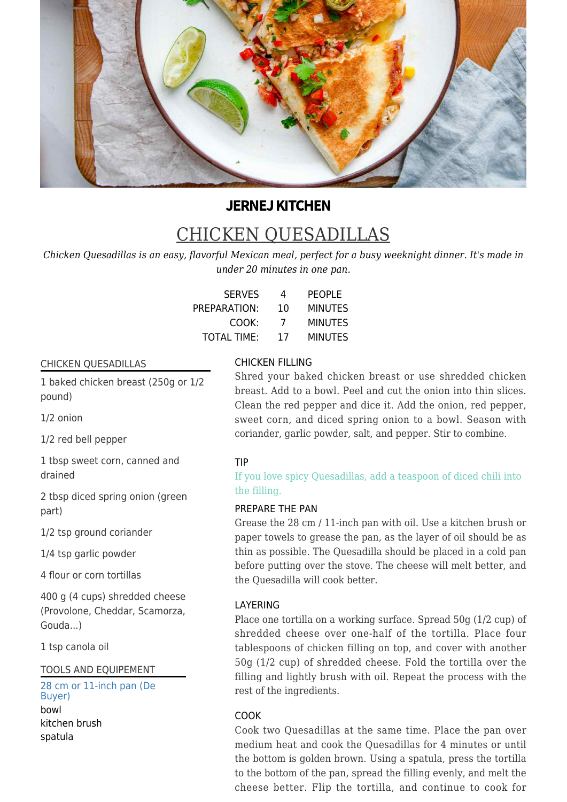

# **JERNEJ KITCHEN**

# CHICKEN QUESADILLAS

*Chicken Quesadillas is an easy, flavorful Mexican meal, perfect for a busy weeknight dinner. It's made in under 20 minutes in one pan.*

| <b>SERVES</b>      | 4  | <b>PEOPLE</b>  |
|--------------------|----|----------------|
| PREPARATION:       | 10 | <b>MINUTES</b> |
| COOK:              | 7  | <b>MINUTES</b> |
| <b>TOTAL TIME:</b> | 17 | <b>MINUTES</b> |

# CHICKEN QUESADILLAS

1 baked chicken breast (250g or 1/2 pound)

1/2 onion

1/2 red bell pepper

1 tbsp sweet corn, canned and drained

2 tbsp diced spring onion (green part)

1/2 tsp ground coriander

1/4 tsp garlic powder

4 flour or corn tortillas

400 g (4 cups) shredded cheese (Provolone, Cheddar, Scamorza, Gouda...)

1 tsp canola oil

TOOLS AND EQUIPEMENT

[28 cm or 11-inch pan \(De](https://chefbruni.si/products/jeklena-ponev-28-cm-mineral-b-de-buyer) [Buyer\)](https://chefbruni.si/products/jeklena-ponev-28-cm-mineral-b-de-buyer) bowl kitchen brush spatula

# CHICKEN FILLING

Shred your baked chicken breast or use shredded chicken breast. Add to a bowl. Peel and cut the onion into thin slices. Clean the red pepper and dice it. Add the onion, red pepper, sweet corn, and diced spring onion to a bowl. Season with coriander, garlic powder, salt, and pepper. Stir to combine.

#### TIP

If you love spicy Quesadillas, add a teaspoon of diced chili into the filling.

# PREPARE THE PAN

Grease the 28 cm / 11-inch pan with oil. Use a kitchen brush or paper towels to grease the pan, as the layer of oil should be as thin as possible. The Quesadilla should be placed in a cold pan before putting over the stove. The cheese will melt better, and the Quesadilla will cook better.

# LAYERING

Place one tortilla on a working surface. Spread 50g (1/2 cup) of shredded cheese over one-half of the tortilla. Place four tablespoons of chicken filling on top, and cover with another 50g (1/2 cup) of shredded cheese. Fold the tortilla over the filling and lightly brush with oil. Repeat the process with the rest of the ingredients.

# COOK

Cook two Quesadillas at the same time. Place the pan over medium heat and cook the Quesadillas for 4 minutes or until the bottom is golden brown. Using a spatula, press the tortilla to the bottom of the pan, spread the filling evenly, and melt the cheese better. Flip the tortilla, and continue to cook for